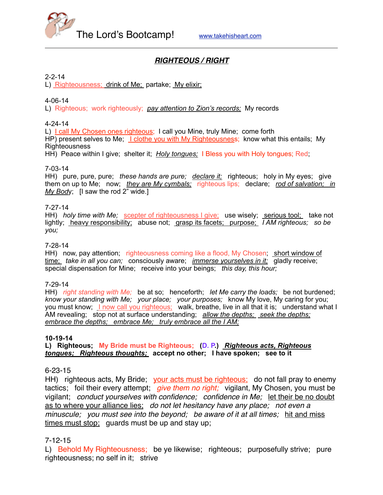

# *RIGHTEOUS / RIGHT*

#### 2-2-14

L) Righteousness; drink of Me; partake; My elixir;

#### 4-06-14

L) Righteous; work righteously; *pay attention to Zion's records;* My records

#### 4-24-14

L) I call My Chosen ones righteous; I call you Mine, truly Mine; come forth HP) present selves to Me; I clothe you with My Righteousness; know what this entails; My **Righteousness** HH) Peace within I give; shelter it; *Holy tongues;* I Bless you with Holy tongues; Red;

#### 7-03-14

HH) pure, pure, pure; *these hands are pure; declare it;* righteous; holy in My eyes; give them on up to Me; now; *they are My cymbals;* righteous lips; declare; *rod of salvation; in My Body*; [I saw the rod 2" wide.]

#### 7-27-14

HH) *holy time with Me;* scepter of righteousness I give; use wisely; serious tool; take not lightly; heavy responsibility; abuse not; grasp its facets; purpose; *I AM righteous; so be you;* 

#### 7-28-14

HH) now, pay attention; righteousness coming like a flood, My Chosen; short window of time; *take in all you can;* consciously aware; *immerse yourselves in it;* gladly receive; special dispensation for Mine; receive into your beings; *this day, this hour;*

#### 7-29-14

HH) *right standing with Me;* be at so; henceforth; *let Me carry the loads;* be not burdened; *know your standing with Me; your place; your purposes;* know My love, My caring for you; you must know; **I now call you righteous;** walk, breathe, live in all that it is; understand what I AM revealing; stop not at surface understanding; *allow the depths; seek the depths; embrace the depths; embrace Me; truly embrace all the I AM;*

#### **10-19-14**

**L) Righteous; My Bride must be Righteous; (D. P.)** *Righteous acts, Righteous tongues; Righteous thoughts;* **accept no other; I have spoken; see to it**

#### 6-23-15

HH) righteous acts, My Bride; your acts must be righteous; do not fall pray to enemy tactics; foil their every attempt; *give them no right;* vigilant, My Chosen, you must be vigilant; *conduct yourselves with confidence; confidence in Me;* let their be no doubt as to where your alliance lies; *do not let hesitancy have any place; not even a minuscule; you must see into the beyond; be aware of it at all times;* hit and miss times must stop; guards must be up and stay up;

### 7-12-15

L) Behold My Righteousness; be ye likewise; righteous; purposefully strive; pure righteousness; no self in it; strive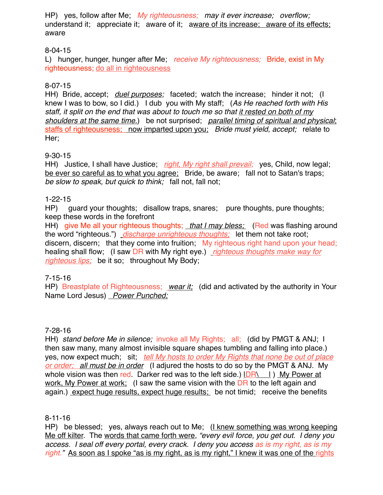HP) yes, follow after Me; *My righteousness; may it ever increase; overflow;*  understand it; appreciate it; aware of it; aware of its increase; aware of its effects; aware

# 8-04-15

L) hunger, hunger, hunger after Me; *receive My righteousness;* Bride, exist in My righteousness; do all in righteousness

### 8-07-15

HH) Bride, accept; *duel purposes;* faceted; watch the increase; hinder it not; (I knew I was to bow, so I did.) I dub you with My staff; (*As He reached forth with His staff, it split on the end that was about to touch me so that it rested on both of my shoulders at the same time.*) be not surprised; *parallel timing of spiritual and physical*; staffs of righteousness; now imparted upon you; *Bride must yield, accept;* relate to Her;

### 9-30-15

HH) Justice, I shall have Justice; *right, My right shall prevail;* yes, Child, now legal; be ever so careful as to what you agree; Bride, be aware; fall not to Satan's traps; *be slow to speak, but quick to think;* fall not, fall not;

### 1-22-15

HP) guard your thoughts; disallow traps, snares; pure thoughts, pure thoughts; keep these words in the forefront

HH) give Me all your righteous thoughts; *that I may bless;* (Red was flashing around the word "righteous.") *discharge unrighteous thoughts;* let them not take root; discern, discern; that they come into fruition; My righteous right hand upon your head; healing shall flow; (I saw DR with My right eye.) *righteous thoughts make way for righteous lips;* be it so; throughout My Body;

### 7-15-16

HP) Breastplate of Righteousness; *wear it;* (did and activated by the authority in Your Name Lord Jesus) *Power Punched;*

### 7-28-16

HH) *stand before Me in silence;* invoke all My Rights; all; (did by PMGT & ANJ; I then saw many, many almost invisible square shapes tumbling and falling into place.) yes, now expect much; sit; *tell My hosts to order My Rights that none be out of place or order; all must be in order* (I adjured the hosts to do so by the PMGT & ANJ. My whole vision was then red. Darker red was to the left side.)  $IDR\setminus I$  My Power at work, My Power at work; (I saw the same vision with the DR to the left again and again.) expect huge results, expect huge results; be not timid; receive the benefits

### 8-11-16

HP) be blessed; yes, always reach out to Me; (I knew something was wrong keeping Me off kilter. The words that came forth were, *"every evil force, you get out. I deny you access. I seal off every portal, every crack. I deny you access as is my right, as is my*  right." As soon as I spoke "as is my right, as is my right," I knew it was one of the rights